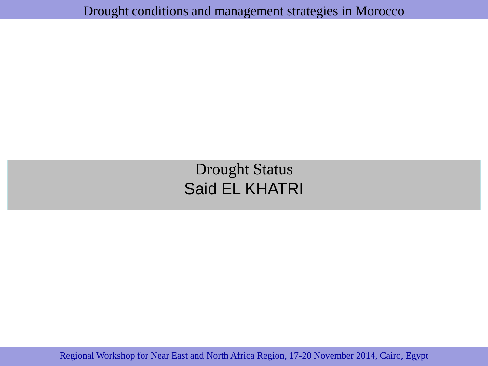Drought conditions and management strategies in Morocco

Drought Status Said EL KHATRI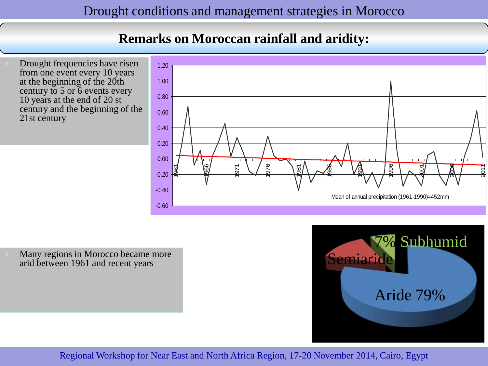# **Remarks on Moroccan rainfall and aridity:**

 Drought frequencies have risen from one event every 10 years at the beginning of the 20th century to 5 or 6 events every 10 years at the end of 20 st century and the beginning of the 21st century



 Many regions in Morocco became more arid between 1961 and recent years

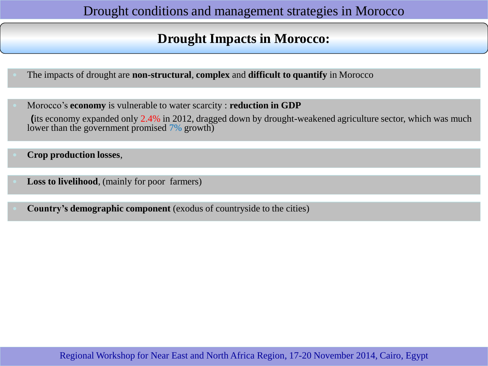# **Drought Impacts in Morocco:**

- The impacts of drought are **non-structural**, **complex** and **difficult to quantify** in Morocco
- Morocco's **economy** is vulnerable to water scarcity : **reduction in GDP (**its economy expanded only 2.4% in 2012, dragged down by drought-weakened agriculture sector, which was much lower than the government promised 7% growth)
- **Crop production losses**,
- **Loss to livelihood**, (mainly for poor farmers)
- **Country's demographic component** (exodus of countryside to the cities)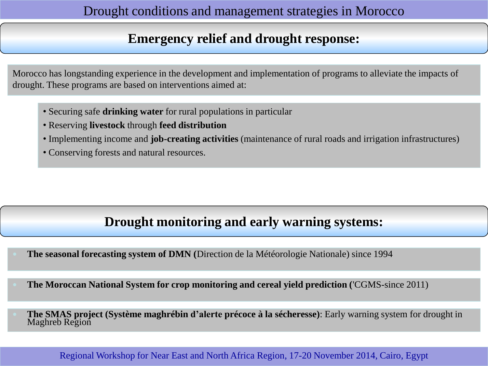# **Emergency relief and drought response:**

Morocco has longstanding experience in the development and implementation of programs to alleviate the impacts of drought. These programs are based on interventions aimed at:

- Securing safe **drinking water** for rural populations in particular
- Reserving **livestock** through **feed distribution**
- Implementing income and **job-creating activities** (maintenance of rural roads and irrigation infrastructures)
- Conserving forests and natural resources.

# **Drought monitoring and early warning systems:**

- **The seasonal forecasting system of DMN (**Direction de la Météorologie Nationale) since 1994
- **The Moroccan National System for crop monitoring and cereal yield prediction (**'CGMS-since 2011)
- **The SMAS project (Système maghrébin d'alerte précoce à la sécheresse)**: Early warning system for drought in Maghreb Region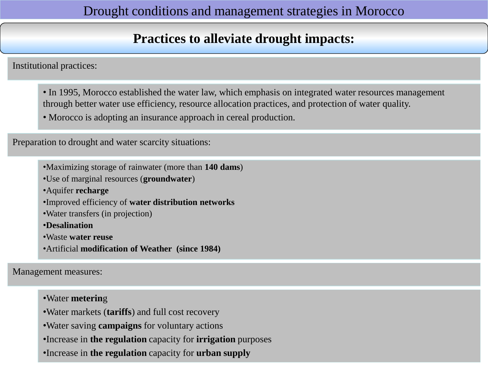# **Practices to alleviate drought impacts:**

Institutional practices:

- In 1995, Morocco established the water law, which emphasis on integrated water resources management through better water use efficiency, resource allocation practices, and protection of water quality.
- Morocco is adopting an insurance approach in cereal production.

Preparation to drought and water scarcity situations:

•Maximizing storage of rainwater (more than **140 dams**)

•Use of marginal resources (**groundwater**)

•Aquifer **recharge**

•Improved efficiency of **water distribution networks**

•Water transfers (in projection)

•**Desalination**

•Waste **water reuse**

•Artificial **modification of Weather (since 1984)**

Management measures:

•Water **meterin**g

- •Water markets (**tariffs**) and full cost recovery
- •Water saving **campaigns** for voluntary actions
- •Increase in **the regulation** capacity for **irrigation** purposes
- •Increase in **the regulation** capacity for **urban supply**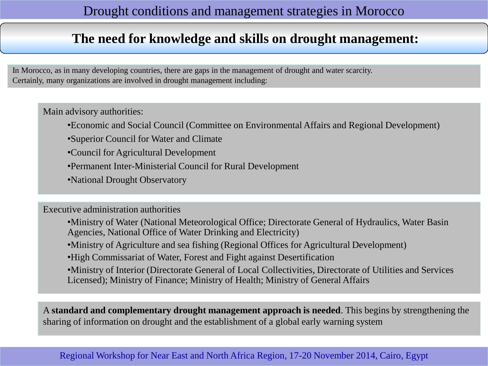# **The need for knowledge and skills on drought management:**

In Morocco, as in many developing countries, there are gaps in the management of drought and water scarcity. Certainly, many organizations are involved in drought management including:

Main advisory authorities:

- •Economic and Social Council (Committee on Environmental Affairs and Regional Development)
- •Superior Council for Water and Climate
- •Council for Agricultural Development
- •Permanent Inter-Ministerial Council for Rural Development
- •National Drought Observatory

Executive administration authorities

- •Ministry of Water (National Meteorological Office; Directorate General of Hydraulics, Water Basin Agencies, National Office of Water Drinking and Electricity)
- •Ministry of Agriculture and sea fishing (Regional Offices for Agricultural Development)
- •High Commissariat of Water, Forest and Fight against Desertification
- •Ministry of Interior (Directorate General of Local Collectivities, Directorate of Utilities and Services Licensed); Ministry of Finance; Ministry of Health; Ministry of General Affairs

A **standard and complementary drought management approach is needed**. This begins by strengthening the sharing of information on drought and the establishment of a global early warning system